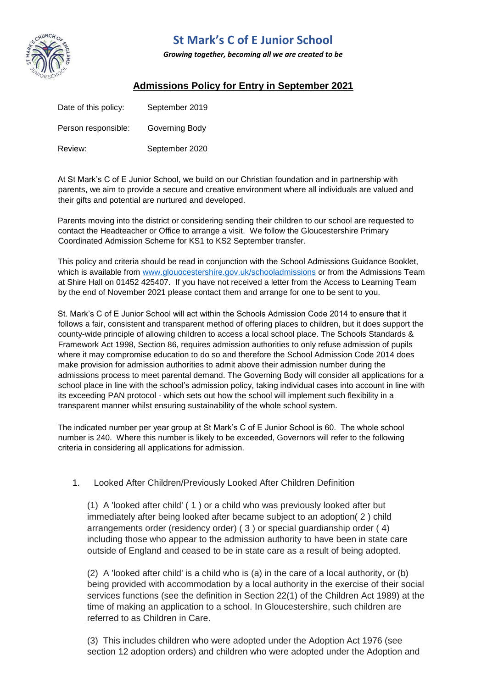

## **St Mark's C of E Junior School**

*Growing together, becoming all we are created to be* 

## **Admissions Policy for Entry in September 2021**

| Date of this policy: | September 2019 |
|----------------------|----------------|
| Person responsible:  | Governing Body |
| Review:              | September 2020 |

At St Mark's C of E Junior School, we build on our Christian foundation and in partnership with parents, we aim to provide a secure and creative environment where all individuals are valued and their gifts and potential are nurtured and developed.

Parents moving into the district or considering sending their children to our school are requested to contact the Headteacher or Office to arrange a visit. We follow the Gloucestershire Primary Coordinated Admission Scheme for KS1 to KS2 September transfer.

This policy and criteria should be read in conjunction with the School Admissions Guidance Booklet, which is available from [www.glouocestershire.gov.uk/schooladmissions](http://www.glouocestershire.gov.uk/schooladmissions) or from the Admissions Team at Shire Hall on 01452 425407. If you have not received a letter from the Access to Learning Team by the end of November 2021 please contact them and arrange for one to be sent to you.

St. Mark's C of E Junior School will act within the Schools Admission Code 2014 to ensure that it follows a fair, consistent and transparent method of offering places to children, but it does support the county-wide principle of allowing children to access a local school place. The Schools Standards & Framework Act 1998, Section 86, requires admission authorities to only refuse admission of pupils where it may compromise education to do so and therefore the School Admission Code 2014 does make provision for admission authorities to admit above their admission number during the admissions process to meet parental demand. The Governing Body will consider all applications for a school place in line with the school's admission policy, taking individual cases into account in line with its exceeding PAN protocol - which sets out how the school will implement such flexibility in a transparent manner whilst ensuring sustainability of the whole school system.

The indicated number per year group at St Mark's C of E Junior School is 60. The whole school number is 240. Where this number is likely to be exceeded, Governors will refer to the following criteria in considering all applications for admission.

## 1. Looked After Children/Previously Looked After Children Definition

(1) A 'looked after child' ( 1 ) or a child who was previously looked after but immediately after being looked after became subject to an adoption( 2 ) child arrangements order (residency order) ( 3 ) or special guardianship order ( 4) including those who appear to the admission authority to have been in state care outside of England and ceased to be in state care as a result of being adopted.

(2) A 'looked after child' is a child who is (a) in the care of a local authority, or (b) being provided with accommodation by a local authority in the exercise of their social services functions (see the definition in Section 22(1) of the Children Act 1989) at the time of making an application to a school. In Gloucestershire, such children are referred to as Children in Care.

(3) This includes children who were adopted under the Adoption Act 1976 (see section 12 adoption orders) and children who were adopted under the Adoption and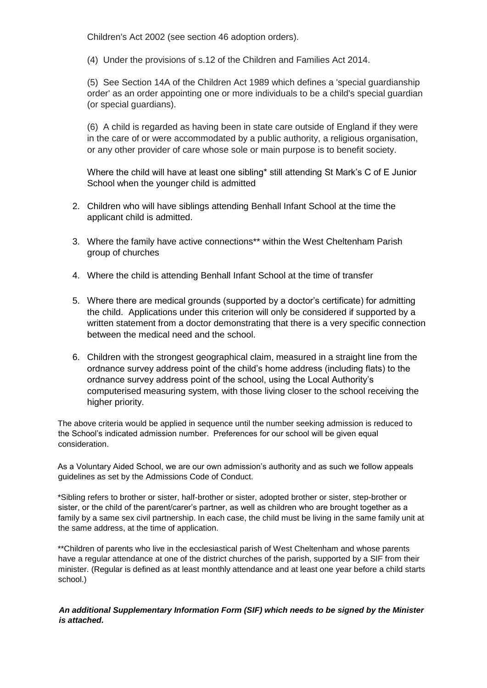Children's Act 2002 (see section 46 adoption orders).

(4) Under the provisions of s.12 of the Children and Families Act 2014.

(5) See Section 14A of the Children Act 1989 which defines a 'special guardianship order' as an order appointing one or more individuals to be a child's special guardian (or special guardians).

(6) A child is regarded as having been in state care outside of England if they were in the care of or were accommodated by a public authority, a religious organisation, or any other provider of care whose sole or main purpose is to benefit society.

Where the child will have at least one sibling\* still attending St Mark's C of E Junior School when the younger child is admitted

- 2. Children who will have siblings attending Benhall Infant School at the time the applicant child is admitted.
- 3. Where the family have active connections\*\* within the West Cheltenham Parish group of churches
- 4. Where the child is attending Benhall Infant School at the time of transfer
- 5. Where there are medical grounds (supported by a doctor's certificate) for admitting the child. Applications under this criterion will only be considered if supported by a written statement from a doctor demonstrating that there is a very specific connection between the medical need and the school.
- 6. Children with the strongest geographical claim, measured in a straight line from the ordnance survey address point of the child's home address (including flats) to the ordnance survey address point of the school, using the Local Authority's computerised measuring system, with those living closer to the school receiving the higher priority.

The above criteria would be applied in sequence until the number seeking admission is reduced to the School's indicated admission number. Preferences for our school will be given equal consideration.

As a Voluntary Aided School, we are our own admission's authority and as such we follow appeals guidelines as set by the Admissions Code of Conduct.

\*Sibling refers to brother or sister, half-brother or sister, adopted brother or sister, step-brother or sister, or the child of the parent/carer's partner, as well as children who are brought together as a family by a same sex civil partnership. In each case, the child must be living in the same family unit at the same address, at the time of application.

\*\*Children of parents who live in the ecclesiastical parish of West Cheltenham and whose parents have a regular attendance at one of the district churches of the parish, supported by a SIF from their minister. (Regular is defined as at least monthly attendance and at least one year before a child starts school.)

*An additional Supplementary Information Form (SIF) which needs to be signed by the Minister is attached.*